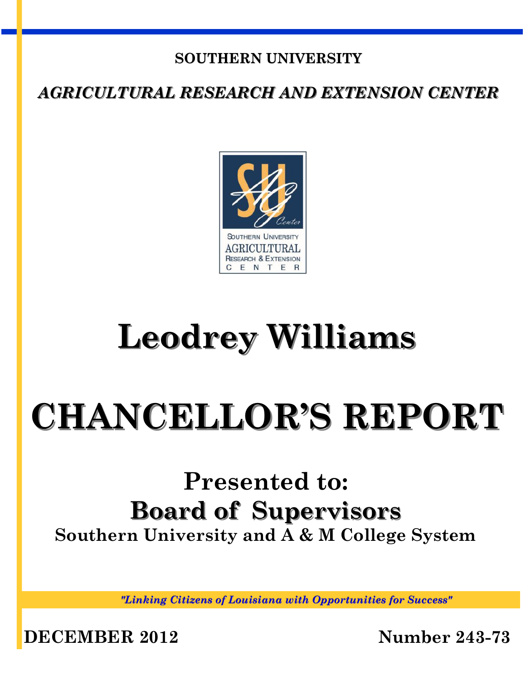## **SOUTHERN UNIVERSITY**

*AGRICULTURAL RESEARCH AND EXTENSION CENTER*



# **Leodrey Williams**

# **CHANCELLOR'S REPORT**

# **Presented to: Board of Supervisors Southern University and A & M College System**

*"Linking Citizens of Louisiana with Opportunities for Success"*

**DECEMBER 2012 Number 243-73**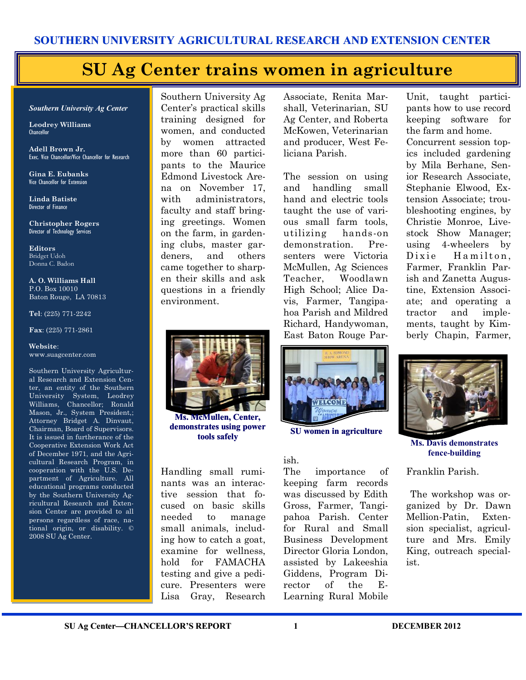## **SU Ag Center trains women in agriculture**

#### *Southern University Ag Center*

**Leodrey Williams**  Chancellor

**Adell Brown Jr.**  Exec. Vice Chancellor/Vice Chancellor for Research

**Gina E. Eubanks** Vice Chancellor for Extension

**Linda Batiste** Director of Finance

**Christopher Rogers** Director of Technology Services

**Editors** Bridget Udoh Donna C. Badon

**A. O. Williams Hall** P.O. Box 10010 Baton Rouge, LA 70813

**Tel**: (225) 771-2242

**Fax**: (225) 771-2861

**Website**: www.suagcenter.com

Southern University Agricultural Research and Extension Center, an entity of the Southern University System, Leodrey Williams, Chancellor; Ronald Mason, Jr., System President,; Attorney Bridget A. Dinvaut, Chairman, Board of Supervisors. It is issued in furtherance of the Cooperative Extension Work Act of December 1971, and the Agricultural Research Program, in cooperation with the U.S. Department of Agriculture. All educational programs conducted by the Southern University Agricultural Research and Extension Center are provided to all persons regardless of race, national origin, or disability. © 2008 SU Ag Center.

Southern University Ag Center's practical skills training designed for women, and conducted by women attracted more than 60 participants to the Maurice Edmond Livestock Arena on November 17, with administrators, faculty and staff bringing greetings. Women on the farm, in gardening clubs, master gardeners, and others came together to sharpen their skills and ask questions in a friendly environment.

Associate, Renita Marshall, Veterinarian, SU Ag Center, and Roberta McKowen, Veterinarian and producer, West Feliciana Parish.

The session on using and handling small hand and electric tools taught the use of various small farm tools, utilizing hands-on demonstration. Presenters were Victoria McMullen, Ag Sciences Teacher, Woodlawn High School; Alice Davis, Farmer, Tangipahoa Parish and Mildred Richard, Handywoman, East Baton Rouge ParUnit, taught participants how to use record keeping software for the farm and home. Concurrent session topics included gardening by Mila Berhane, Senior Research Associate, Stephanie Elwood, Extension Associate; troubleshooting engines, by Christie Monroe, Livestock Show Manager; using 4-wheelers by Dixie Hamilton, Farmer, Franklin Parish and Zanetta Augustine, Extension Associate; and operating a tractor and implements, taught by Kimberly Chapin, Farmer,



**Ms. McMullen, Center, demonstrates using power tools safely SU** women in agriculture

Handling small ruminants was an interactive session that focused on basic skills needed to manage small animals, including how to catch a goat, examine for wellness, hold for FAMACHA testing and give a pedicure. Presenters were Lisa Gray, Research



#### ish.

The importance of keeping farm records was discussed by Edith Gross, Farmer, Tangipahoa Parish. Center for Rural and Small Business Development Director Gloria London, assisted by Lakeeshia Giddens, Program Director of the E-Learning Rural Mobile



**Ms. Davis demonstrates fence-building**

Franklin Parish.

The workshop was organized by Dr. Dawn Mellion-Patin, Extension specialist, agriculture and Mrs. Emily King, outreach specialist.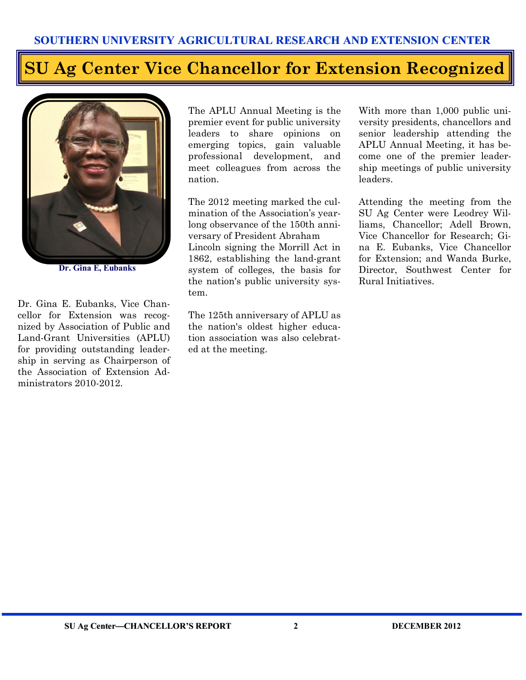# **SU Ag Center Vice Chancellor for Extension Recognized**



**Dr. Gina E, Eubanks**

Dr. Gina E. Eubanks, Vice Chancellor for Extension was recognized by Association of Public and Land-Grant Universities (APLU) for providing outstanding leadership in serving as Chairperson of the Association of Extension Administrators 2010-2012.

The APLU Annual Meeting is the premier event for public university leaders to share opinions on emerging topics, gain valuable professional development, and meet colleagues from across the nation.

The 2012 meeting marked the culmination of the Association's yearlong observance of the 150th anniversary of President Abraham Lincoln signing the Morrill Act in 1862, establishing the land-grant system of colleges, the basis for the nation's public university system.

The 125th anniversary of APLU as the nation's oldest higher education association was also celebrated at the meeting.

With more than 1,000 public university presidents, chancellors and senior leadership attending the APLU Annual Meeting, it has become one of the premier leadership meetings of public university leaders.

Attending the meeting from the SU Ag Center were Leodrey Williams, Chancellor; Adell Brown, Vice Chancellor for Research; Gina E. Eubanks, Vice Chancellor for Extension; and Wanda Burke, Director, Southwest Center for Rural Initiatives.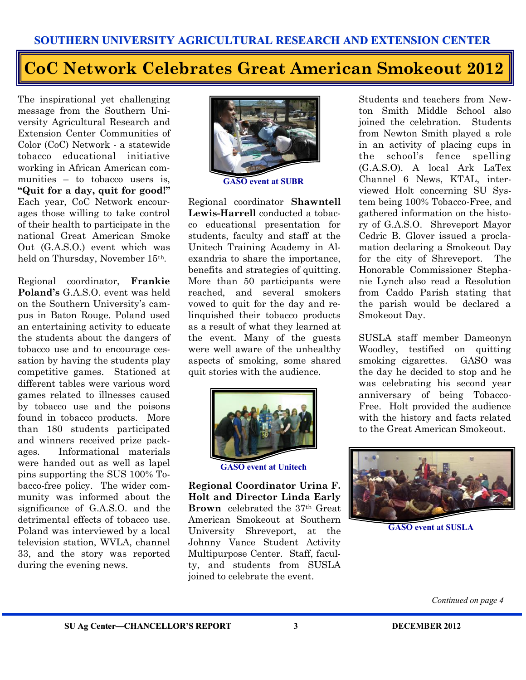# **CoC Network Celebrates Great American Smokeout 2012**

The inspirational yet challenging message from the Southern University Agricultural Research and Extension Center Communities of Color (CoC) Network - a statewide tobacco educational initiative working in African American communities – to tobacco users is. **"Quit for a day, quit for good!"**  Each year, CoC Network encourages those willing to take control of their health to participate in the national Great American Smoke Out (G.A.S.O.) event which was held on Thursday, November 15th.

Regional coordinator, **Frankie Poland's** G.A.S.O. event was held on the Southern University's campus in Baton Rouge. Poland used an entertaining activity to educate the students about the dangers of tobacco use and to encourage cessation by having the students play competitive games. Stationed at different tables were various word games related to illnesses caused by tobacco use and the poisons found in tobacco products. More than 180 students participated and winners received prize packages. Informational materials were handed out as well as lapel pins supporting the SUS 100% Tobacco-free policy. The wider community was informed about the significance of G.A.S.O. and the detrimental effects of tobacco use. Poland was interviewed by a local television station, WVLA, channel 33, and the story was reported during the evening news.



Regional coordinator **Shawntell Lewis-Harrell** conducted a tobacco educational presentation for students, faculty and staff at the Unitech Training Academy in Alexandria to share the importance, benefits and strategies of quitting. More than 50 participants were reached, and several smokers vowed to quit for the day and relinquished their tobacco products as a result of what they learned at the event. Many of the guests were well aware of the unhealthy aspects of smoking, some shared quit stories with the audience.



**GASO event at Unitech**

**Regional Coordinator Urina F. Holt and Director Linda Early Brown** celebrated the 37th Great American Smokeout at Southern University Shreveport, at the Johnny Vance Student Activity Multipurpose Center. Staff, faculty, and students from SUSLA joined to celebrate the event.

Students and teachers from Newton Smith Middle School also joined the celebration. Students from Newton Smith played a role in an activity of placing cups in the school's fence spelling (G.A.S.O). A local Ark LaTex Channel 6 News, KTAL, interviewed Holt concerning SU System being 100% Tobacco-Free, and gathered information on the history of G.A.S.O. Shreveport Mayor Cedric B. Glover issued a proclamation declaring a Smokeout Day for the city of Shreveport. The Honorable Commissioner Stephanie Lynch also read a Resolution from Caddo Parish stating that the parish would be declared a Smokeout Day.

SUSLA staff member Dameonyn Woodley, testified on quitting smoking cigarettes. GASO was the day he decided to stop and he was celebrating his second year anniversary of being Tobacco-Free. Holt provided the audience with the history and facts related to the Great American Smokeout.



**GASO event at SUSLA**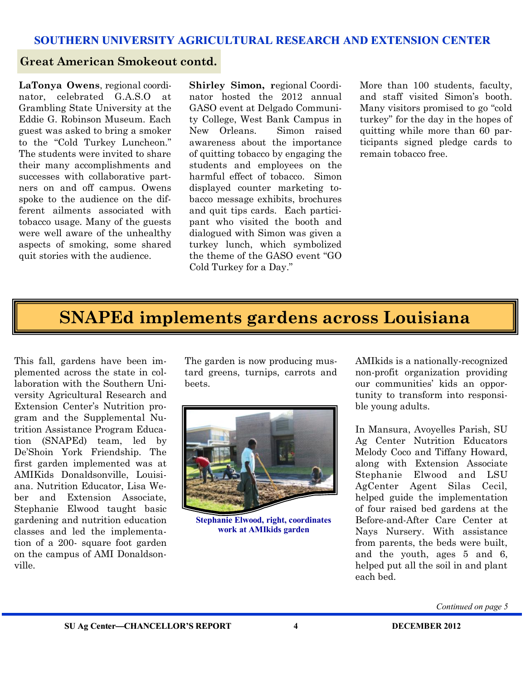#### **Great American Smokeout contd.**

**LaTonya Owens**, regional coordinator, celebrated G.A.S.O at Grambling State University at the Eddie G. Robinson Museum. Each guest was asked to bring a smoker to the "Cold Turkey Luncheon." The students were invited to share their many accomplishments and successes with collaborative partners on and off campus. Owens spoke to the audience on the different ailments associated with tobacco usage. Many of the guests were well aware of the unhealthy aspects of smoking, some shared quit stories with the audience.

**Shirley Simon, r**egional Coordinator hosted the 2012 annual GASO event at Delgado Community College, West Bank Campus in New Orleans. Simon raised awareness about the importance of quitting tobacco by engaging the students and employees on the harmful effect of tobacco. Simon displayed counter marketing tobacco message exhibits, brochures and quit tips cards. Each participant who visited the booth and dialogued with Simon was given a turkey lunch, which symbolized the theme of the GASO event "GO Cold Turkey for a Day."

More than 100 students, faculty, and staff visited Simon's booth. Many visitors promised to go "cold turkey" for the day in the hopes of quitting while more than 60 participants signed pledge cards to remain tobacco free.

## **SNAPEd implements gardens across Louisiana**

This fall, gardens have been implemented across the state in collaboration with the Southern University Agricultural Research and Extension Center's Nutrition program and the Supplemental Nutrition Assistance Program Education (SNAPEd) team, led by De'Shoin York Friendship. The first garden implemented was at AMIKids Donaldsonville, Louisiana. Nutrition Educator, Lisa Weber and Extension Associate, Stephanie Elwood taught basic gardening and nutrition education classes and led the implementation of a 200- square foot garden on the campus of AMI Donaldsonville.

The garden is now producing mustard greens, turnips, carrots and beets.



**Stephanie Elwood, right, coordinates work at AMIkids garden**

AMIkids is a nationally-recognized non-profit organization providing our communities' kids an opportunity to transform into responsible young adults.

In Mansura, Avoyelles Parish, SU Ag Center Nutrition Educators Melody Coco and Tiffany Howard, along with Extension Associate Stephanie Elwood and LSU AgCenter Agent Silas Cecil, helped guide the implementation of four raised bed gardens at the Before-and-After Care Center at Nays Nursery. With assistance from parents, the beds were built, and the youth, ages 5 and 6, helped put all the soil in and plant each bed.

*Continued on page 5*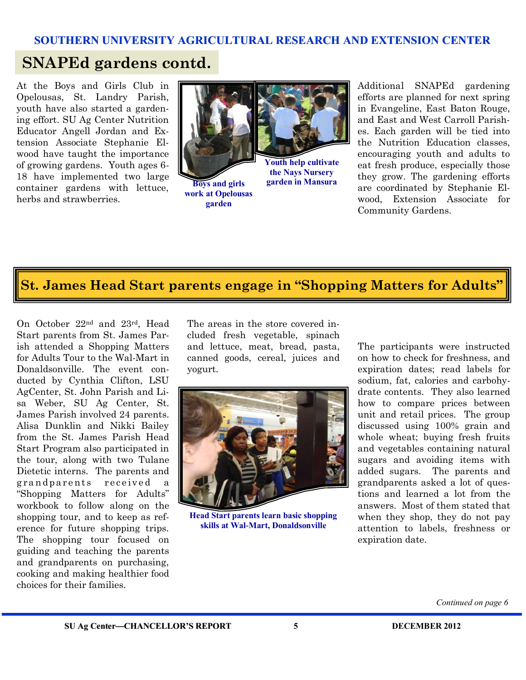## **SNAPEd gardens contd.**

At the Boys and Girls Club in Opelousas, St. Landry Parish, youth have also started a gardening effort. SU Ag Center Nutrition Educator Angell Jordan and Extension Associate Stephanie Elwood have taught the importance of growing gardens. Youth ages 6- 18 have implemented two large container gardens with lettuce, herbs and strawberries.



**garden in Mansura**

**Boys and girls work at Opelousas garden**

Additional SNAPEd gardening efforts are planned for next spring in Evangeline, East Baton Rouge, and East and West Carroll Parishes. Each garden will be tied into the Nutrition Education classes, encouraging youth and adults to eat fresh produce, especially those they grow. The gardening efforts are coordinated by Stephanie Elwood, Extension Associate for Community Gardens.

# **St. James Head Start parents engage in "Shopping Matters for Adults"**

On October 22nd and 23rd, Head Start parents from St. James Parish attended a Shopping Matters for Adults Tour to the Wal-Mart in Donaldsonville. The event conducted by Cynthia Clifton, LSU AgCenter, St. John Parish and Lisa Weber, SU Ag Center, St. James Parish involved 24 parents. Alisa Dunklin and Nikki Bailey from the St. James Parish Head Start Program also participated in the tour, along with two Tulane Dietetic interns. The parents and grand parents received a "Shopping Matters for Adults" workbook to follow along on the shopping tour, and to keep as reference for future shopping trips. The shopping tour focused on guiding and teaching the parents and grandparents on purchasing, cooking and making healthier food choices for their families.

The areas in the store covered included fresh vegetable, spinach and lettuce, meat, bread, pasta, canned goods, cereal, juices and yogurt.



**Head Start parents learn basic shopping skills at Wal-Mart, Donaldsonville**

The participants were instructed on how to check for freshness, and expiration dates; read labels for sodium, fat, calories and carbohydrate contents. They also learned how to compare prices between unit and retail prices. The group discussed using 100% grain and whole wheat; buying fresh fruits and vegetables containing natural sugars and avoiding items with added sugars. The parents and grandparents asked a lot of questions and learned a lot from the answers. Most of them stated that when they shop, they do not pay attention to labels, freshness or expiration date.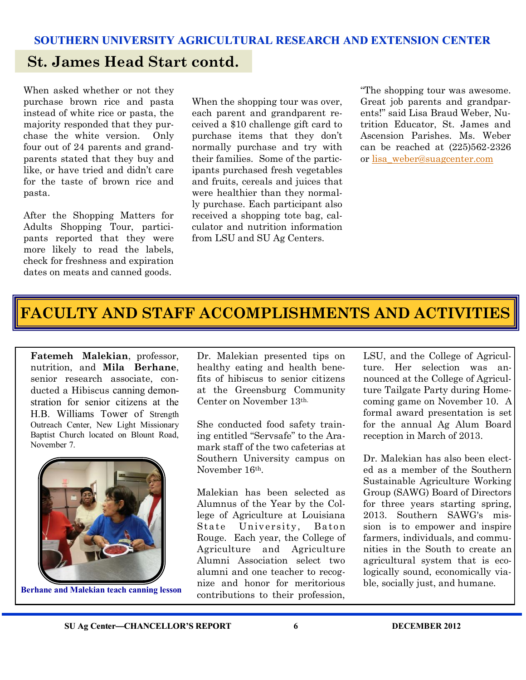### **St. James Head Start contd.**

When asked whether or not they purchase brown rice and pasta instead of white rice or pasta, the majority responded that they purchase the white version. Only four out of 24 parents and grandparents stated that they buy and like, or have tried and didn't care for the taste of brown rice and pasta.

After the Shopping Matters for Adults Shopping Tour, participants reported that they were more likely to read the labels, check for freshness and expiration dates on meats and canned goods.

When the shopping tour was over, each parent and grandparent received a \$10 challenge gift card to purchase items that they don't normally purchase and try with their families. Some of the participants purchased fresh vegetables and fruits, cereals and juices that were healthier than they normally purchase. Each participant also received a shopping tote bag, calculator and nutrition information from LSU and SU Ag Centers.

"The shopping tour was awesome. Great job parents and grandparents!" said Lisa Braud Weber, Nutrition Educator, St. James and Ascension Parishes. Ms. Weber can be reached at (225)562-2326 or [lisa\\_weber@suagcenter.com](mailto:lisa_weber@suagcenter.com)

# **FACULTY AND STAFF ACCOMPLISHMENTS AND ACTIVITIES**

**Fatemeh Malekian**, professor, nutrition, and **Mila Berhane**, senior research associate, conducted a Hibiscus canning demonstration for senior citizens at the H.B. Williams Tower of Strength Outreach Center, New Light Missionary Baptist Church located on Blount Road, November 7.



**Berhane and Malekian teach canning lesson**

Dr. Malekian presented tips on healthy eating and health benefits of hibiscus to senior citizens at the Greensburg Community Center on November 13th.

She conducted food safety training entitled "Servsafe" to the Aramark staff of the two cafeterias at Southern University campus on November 16th.

Malekian has been selected as Alumnus of the Year by the College of Agriculture at Louisiana State University, Baton Rouge. Each year, the College of Agriculture and Agriculture Alumni Association select two alumni and one teacher to recognize and honor for meritorious contributions to their profession,

LSU, and the College of Agriculture. Her selection was announced at the College of Agriculture Tailgate Party during Homecoming game on November 10. A formal award presentation is set for the annual Ag Alum Board reception in March of 2013.

Dr. Malekian has also been elected as a member of the Southern Sustainable Agriculture Working Group (SAWG) Board of Directors for three years starting spring, 2013. Southern SAWG's mission is to empower and inspire farmers, individuals, and communities in the South to create an agricultural system that is ecologically sound, economically viable, socially just, and humane.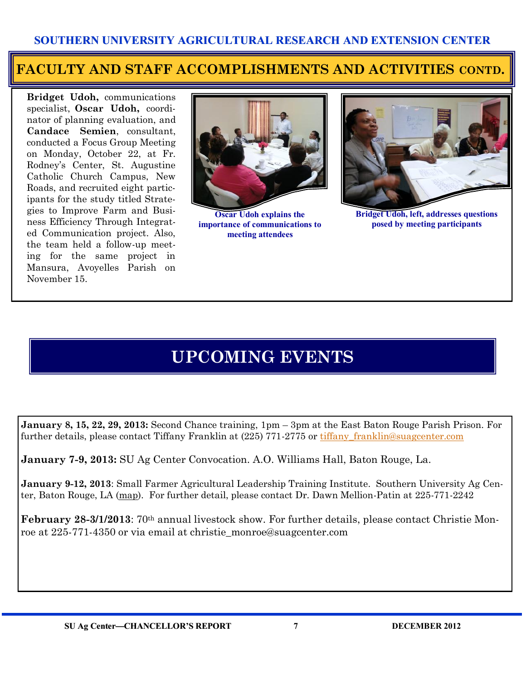### **FACULTY AND STAFF ACCOMPLISHMENTS AND ACTIVITIES CONTD.**

**Bridget Udoh,** communications specialist, **Oscar Udoh,** coordinator of planning evaluation, and **Candace Semien**, consultant, conducted a Focus Group Meeting on Monday, October 22, at Fr. Rodney's Center, St. Augustine Catholic Church Campus, New Roads, and recruited eight participants for the study titled Strategies to Improve Farm and Business Efficiency Through Integrated Communication project. Also, the team held a follow-up meeting for the same project in Mansura, Avoyelles Parish on November 15.



**Oscar Udoh explains the importance of communications to meeting attendees**



**Bridget Udoh, left, addresses questions posed by meeting participants**

# **UPCOMING EVENTS**

**January 8, 15, 22, 29, 2013:** Second Chance training, 1pm – 3pm at the East Baton Rouge Parish Prison. For further details, please contact Tiffany Franklin at (225) 771-2775 or [tiffany\\_franklin@suagcenter.com](mailto:tiffany_franklin@suagcenter.com)

**January 7-9, 2013:** SU Ag Center Convocation. A.O. Williams Hall, Baton Rouge, La.

**January 9-12, 2013**: Small Farmer Agricultural Leadership Training Institute. Southern University Ag Center, Baton Rouge, LA ([map\)](http://maps.google.com/maps?hl=en&q=Southern%20University%20Ag%20Center%2C%20Baton%20Rouge%2C%20LA). For further detail, please contact Dr. Dawn Mellion-Patin at 225-771-2242

**February 28-3/1/2013**: 70th annual livestock show. For further details, please contact Christie Monroe at 225-771-4350 or via email at christie\_monroe@suagcenter.com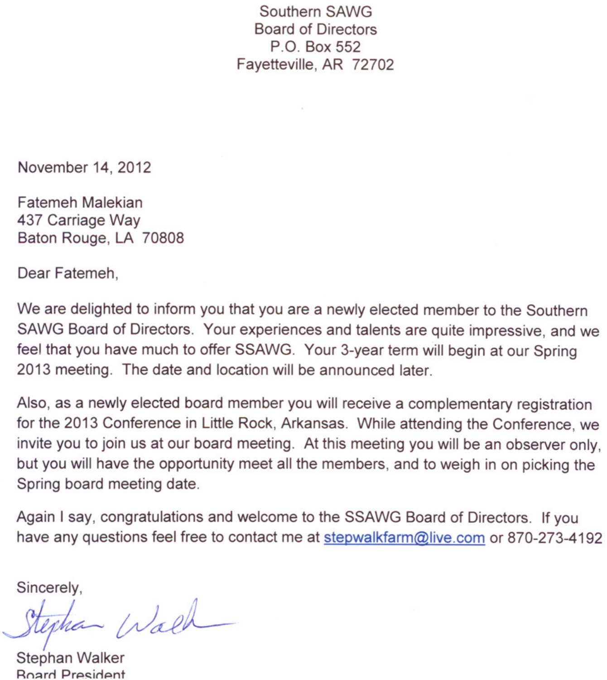Southern SAWG Board of Directors P.O. Box 552 Fayetteville, AR 72702

November 14, 2012

Fatemeh Malekian 437 Carriage Way Baton Rouge, LA 70808

Dear Fatemeh,

We are delighted to inform you that you are a newly elected member to the Southern SAWG Board of Directors. Your experiences and talents are quite impressive, and we feel that you have much to offer SSAWG. Your 3-year term will begin at our Spring 2013 meeting. The date and location will be announced later.

Also, as a newly elected board member you will receive a complementary registration for the 2013 Conference in Little Rock, Arkansas. While attending the Conference, we invite you to join us at our board meeting. At this meeting you will be an observer only, but you will have the opportunity meet all the members, and to weigh in on picking the Spring board meeting date.

Again I say, congratulations and welcome to the SSAWG Board of Directors. If you have any questions feel free to contact me at stepwalkfarm@live.com or 870-273-4192

Sincerely,

Stephan Wald

Stephan Walker Roard President